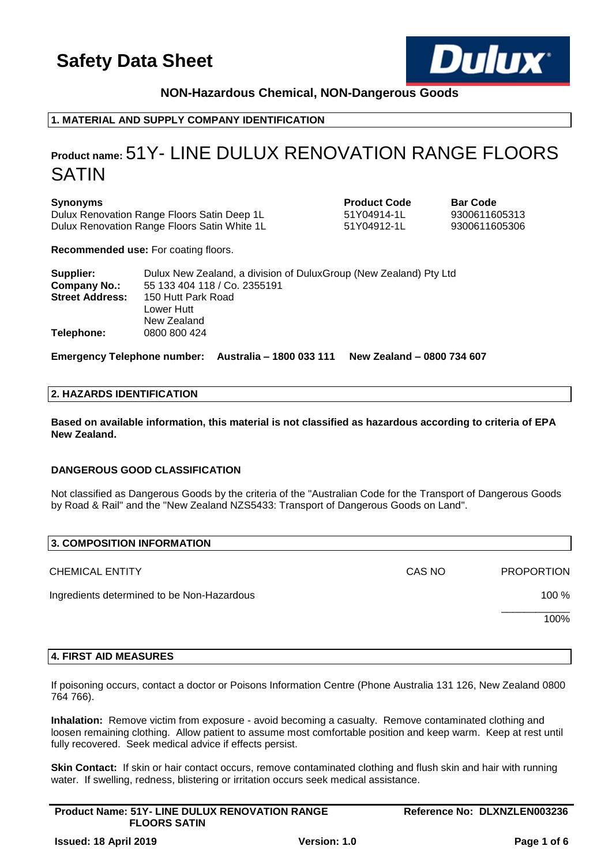

# **NON-Hazardous Chemical, NON-Dangerous Goods**

# **1. MATERIAL AND SUPPLY COMPANY IDENTIFICATION**

# **Product name:** 51Y- LINE DULUX RENOVATION RANGE FLOORS SATIN

### **Synonyms Product Code Bar Code**

Dulux Renovation Range Floors Satin Deep 1L 51Y04914-1L 9300611605313 Dulux Renovation Range Floors Satin White 1L 51Y04912-1L 9300611605306

**Recommended use:** For coating floors.

| Supplier:              | Dulux New Zealand, a division of DuluxGroup (New Zealand) Pty Ltd |
|------------------------|-------------------------------------------------------------------|
| <b>Company No.:</b>    | 55 133 404 118 / Co. 2355191                                      |
| <b>Street Address:</b> | 150 Hutt Park Road                                                |
|                        | Lower Hutt                                                        |
|                        | New Zealand                                                       |
| Telephone:             | 0800 800 424                                                      |

**Emergency Telephone number: Australia – 1800 033 111 New Zealand – 0800 734 607**

# **2. HAZARDS IDENTIFICATION**

**Based on available information, this material is not classified as hazardous according to criteria of EPA New Zealand.**

### **DANGEROUS GOOD CLASSIFICATION**

Not classified as Dangerous Goods by the criteria of the "Australian Code for the Transport of Dangerous Goods by Road & Rail" and the "New Zealand NZS5433: Transport of Dangerous Goods on Land".

| 3. COMPOSITION INFORMATION                 |        |                   |
|--------------------------------------------|--------|-------------------|
| <b>CHEMICAL ENTITY</b>                     | CAS NO | <b>PROPORTION</b> |
| Ingredients determined to be Non-Hazardous |        | $100 \%$          |
|                                            |        | 100%              |
|                                            |        |                   |

# **4. FIRST AID MEASURES**

If poisoning occurs, contact a doctor or Poisons Information Centre (Phone Australia 131 126, New Zealand 0800 764 766).

**Inhalation:** Remove victim from exposure - avoid becoming a casualty. Remove contaminated clothing and loosen remaining clothing. Allow patient to assume most comfortable position and keep warm. Keep at rest until fully recovered. Seek medical advice if effects persist.

**Skin Contact:** If skin or hair contact occurs, remove contaminated clothing and flush skin and hair with running water. If swelling, redness, blistering or irritation occurs seek medical assistance.

| <b>Product Name: 51Y- LINE DULUX RENOVATION RANGE</b> | Reference No: DLXNZLEN003236 |
|-------------------------------------------------------|------------------------------|
| <b>FLOORS SATIN</b>                                   |                              |
|                                                       |                              |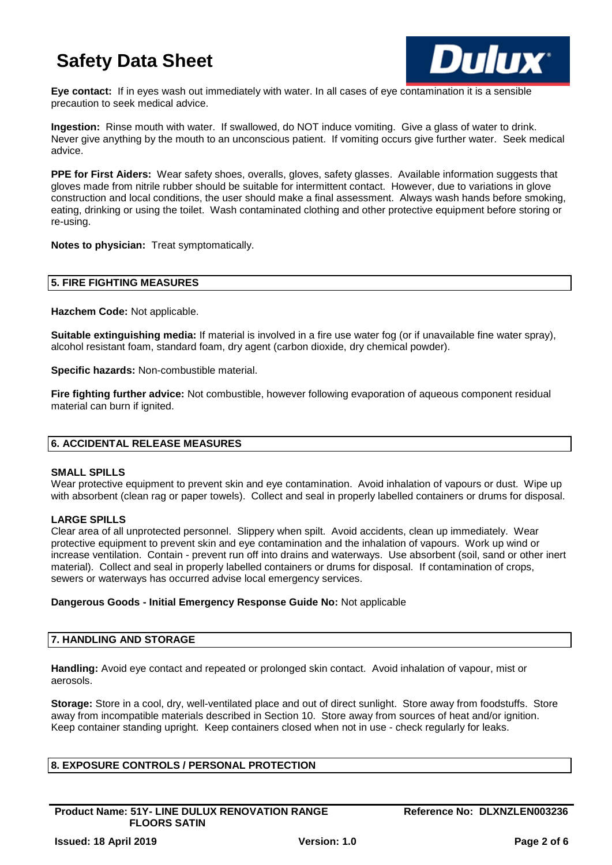

**Eye contact:** If in eyes wash out immediately with water. In all cases of eye contamination it is a sensible precaution to seek medical advice.

**Ingestion:** Rinse mouth with water. If swallowed, do NOT induce vomiting. Give a glass of water to drink. Never give anything by the mouth to an unconscious patient. If vomiting occurs give further water. Seek medical advice.

**PPE for First Aiders:** Wear safety shoes, overalls, gloves, safety glasses. Available information suggests that gloves made from nitrile rubber should be suitable for intermittent contact. However, due to variations in glove construction and local conditions, the user should make a final assessment. Always wash hands before smoking, eating, drinking or using the toilet. Wash contaminated clothing and other protective equipment before storing or re-using.

**Notes to physician:** Treat symptomatically.

### **5. FIRE FIGHTING MEASURES**

**Hazchem Code:** Not applicable.

**Suitable extinguishing media:** If material is involved in a fire use water fog (or if unavailable fine water spray), alcohol resistant foam, standard foam, dry agent (carbon dioxide, dry chemical powder).

**Specific hazards:** Non-combustible material.

**Fire fighting further advice:** Not combustible, however following evaporation of aqueous component residual material can burn if ignited.

# **6. ACCIDENTAL RELEASE MEASURES**

### **SMALL SPILLS**

Wear protective equipment to prevent skin and eve contamination. Avoid inhalation of vapours or dust. Wipe up with absorbent (clean rag or paper towels). Collect and seal in properly labelled containers or drums for disposal.

# **LARGE SPILLS**

Clear area of all unprotected personnel. Slippery when spilt. Avoid accidents, clean up immediately. Wear protective equipment to prevent skin and eye contamination and the inhalation of vapours. Work up wind or increase ventilation. Contain - prevent run off into drains and waterways. Use absorbent (soil, sand or other inert material). Collect and seal in properly labelled containers or drums for disposal. If contamination of crops, sewers or waterways has occurred advise local emergency services.

### **Dangerous Goods - Initial Emergency Response Guide No:** Not applicable

# **7. HANDLING AND STORAGE**

**Handling:** Avoid eye contact and repeated or prolonged skin contact. Avoid inhalation of vapour, mist or aerosols.

**Storage:** Store in a cool, dry, well-ventilated place and out of direct sunlight. Store away from foodstuffs. Store away from incompatible materials described in Section 10. Store away from sources of heat and/or ignition. Keep container standing upright. Keep containers closed when not in use - check regularly for leaks.

# **8. EXPOSURE CONTROLS / PERSONAL PROTECTION**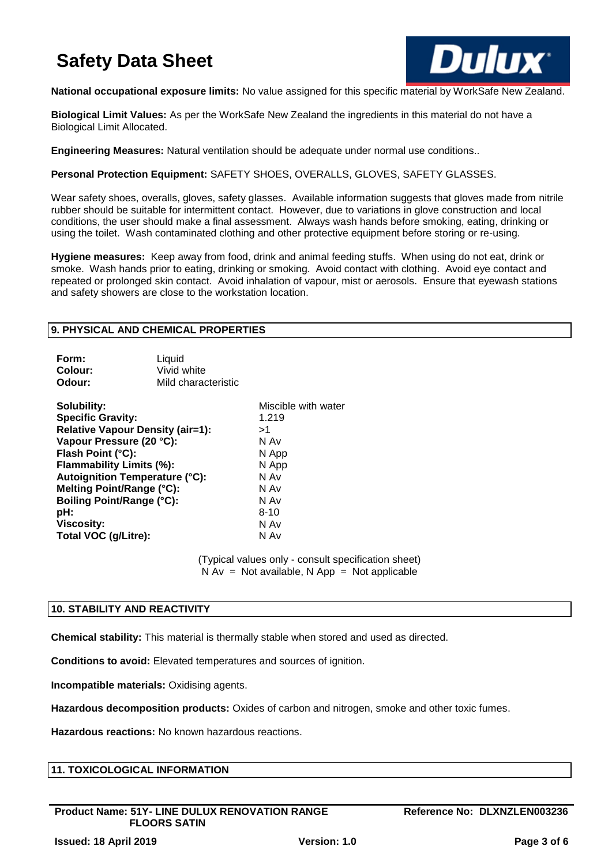

**National occupational exposure limits:** No value assigned for this specific material by WorkSafe New Zealand.

**Biological Limit Values:** As per the WorkSafe New Zealand the ingredients in this material do not have a Biological Limit Allocated.

**Engineering Measures:** Natural ventilation should be adequate under normal use conditions..

**Personal Protection Equipment:** SAFETY SHOES, OVERALLS, GLOVES, SAFETY GLASSES.

Wear safety shoes, overalls, gloves, safety glasses. Available information suggests that gloves made from nitrile rubber should be suitable for intermittent contact. However, due to variations in glove construction and local conditions, the user should make a final assessment. Always wash hands before smoking, eating, drinking or using the toilet. Wash contaminated clothing and other protective equipment before storing or re-using.

**Hygiene measures:** Keep away from food, drink and animal feeding stuffs. When using do not eat, drink or smoke. Wash hands prior to eating, drinking or smoking. Avoid contact with clothing. Avoid eye contact and repeated or prolonged skin contact. Avoid inhalation of vapour, mist or aerosols. Ensure that eyewash stations and safety showers are close to the workstation location.

### **9. PHYSICAL AND CHEMICAL PROPERTIES**

| Form:   | Liquid              |
|---------|---------------------|
| Colour: | Vivid white         |
| Odour:  | Mild characteristic |

| Solubility:                           | Miscible with water |
|---------------------------------------|---------------------|
| <b>Specific Gravity:</b>              | 1.219               |
| Relative Vapour Density (air=1):      | >1                  |
| Vapour Pressure (20 °C):              | N Av                |
| Flash Point (°C):                     | N App               |
| Flammability Limits (%):              | N App               |
| <b>Autoignition Temperature (°C):</b> | N Av                |
| Melting Point/Range (°C):             | N Av                |
| <b>Boiling Point/Range (°C):</b>      | N Av                |
| pH:                                   | $8 - 10$            |
| <b>Viscosity:</b>                     | N Av                |
| Total VOC (g/Litre):                  | N Av                |

(Typical values only - consult specification sheet)  $N Av = Not available, N App = Not applicable$ 

# **10. STABILITY AND REACTIVITY**

**Chemical stability:** This material is thermally stable when stored and used as directed.

**Conditions to avoid:** Elevated temperatures and sources of ignition.

**Incompatible materials:** Oxidising agents.

**Hazardous decomposition products:** Oxides of carbon and nitrogen, smoke and other toxic fumes.

**Hazardous reactions:** No known hazardous reactions.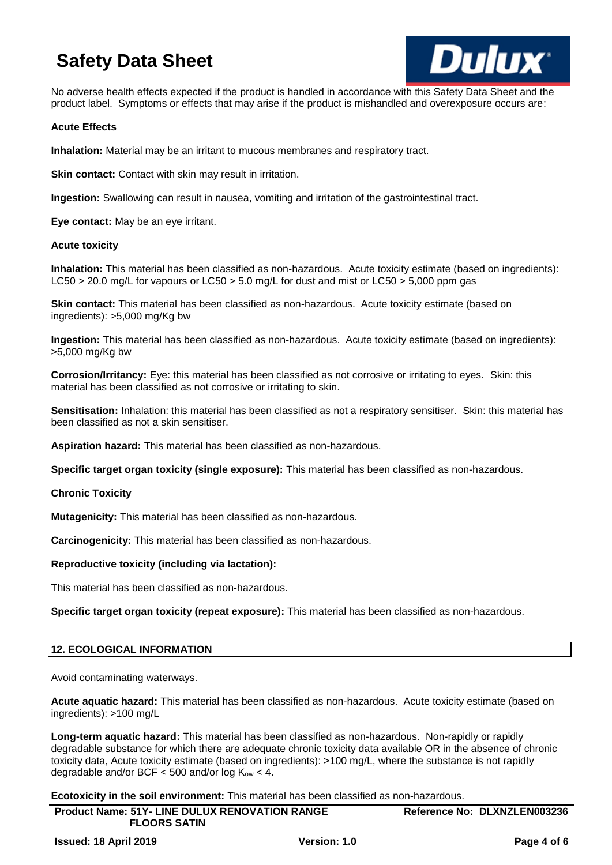

No adverse health effects expected if the product is handled in accordance with this Safety Data Sheet and the product label. Symptoms or effects that may arise if the product is mishandled and overexposure occurs are:

### **Acute Effects**

**Inhalation:** Material may be an irritant to mucous membranes and respiratory tract.

**Skin contact:** Contact with skin may result in irritation.

**Ingestion:** Swallowing can result in nausea, vomiting and irritation of the gastrointestinal tract.

**Eye contact:** May be an eye irritant.

### **Acute toxicity**

**Inhalation:** This material has been classified as non-hazardous. Acute toxicity estimate (based on ingredients): LC50 > 20.0 mg/L for vapours or LC50 > 5.0 mg/L for dust and mist or LC50 > 5,000 ppm gas

**Skin contact:** This material has been classified as non-hazardous. Acute toxicity estimate (based on ingredients): >5,000 mg/Kg bw

**Ingestion:** This material has been classified as non-hazardous. Acute toxicity estimate (based on ingredients): >5,000 mg/Kg bw

**Corrosion/Irritancy:** Eye: this material has been classified as not corrosive or irritating to eyes. Skin: this material has been classified as not corrosive or irritating to skin.

**Sensitisation:** Inhalation: this material has been classified as not a respiratory sensitiser. Skin: this material has been classified as not a skin sensitiser.

**Aspiration hazard:** This material has been classified as non-hazardous.

**Specific target organ toxicity (single exposure):** This material has been classified as non-hazardous.

**Chronic Toxicity**

**Mutagenicity:** This material has been classified as non-hazardous.

**Carcinogenicity:** This material has been classified as non-hazardous.

### **Reproductive toxicity (including via lactation):**

This material has been classified as non-hazardous.

**Specific target organ toxicity (repeat exposure):** This material has been classified as non-hazardous.

### **12. ECOLOGICAL INFORMATION**

Avoid contaminating waterways.

**Acute aquatic hazard:** This material has been classified as non-hazardous. Acute toxicity estimate (based on ingredients): >100 mg/L

**Long-term aquatic hazard:** This material has been classified as non-hazardous. Non-rapidly or rapidly degradable substance for which there are adequate chronic toxicity data available OR in the absence of chronic toxicity data, Acute toxicity estimate (based on ingredients): >100 mg/L, where the substance is not rapidly degradable and/or BCF  $<$  500 and/or log  $K_{ow}$   $<$  4.

**Ecotoxicity in the soil environment:** This material has been classified as non-hazardous.

| <b>Product Name: 51Y- LINE DULUX RENOVATION RANGE</b><br><b>FLOORS SATIN</b> |              | Reference No: DLXNZLEN003236 |
|------------------------------------------------------------------------------|--------------|------------------------------|
| <b>Issued: 18 April 2019</b>                                                 | Version: 1.0 | Page 4 of 6                  |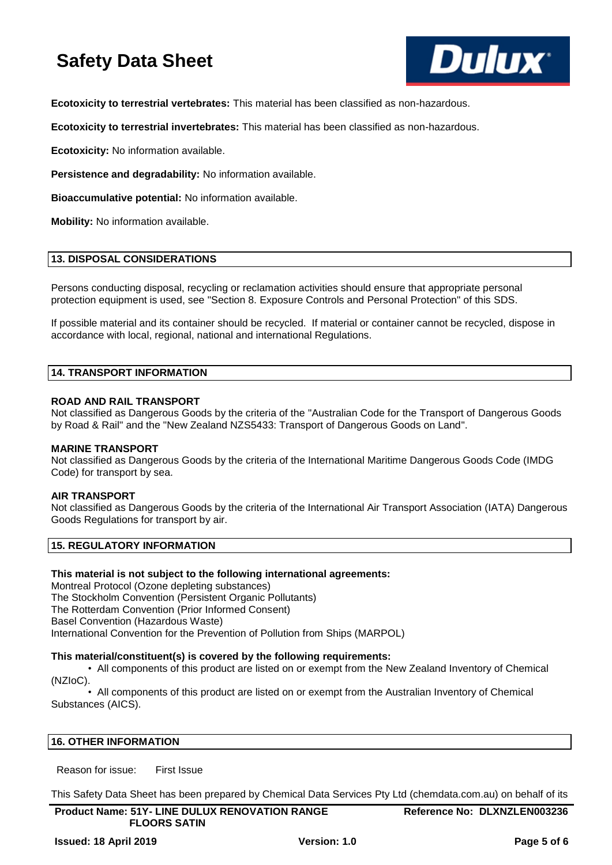

**Ecotoxicity to terrestrial vertebrates:** This material has been classified as non-hazardous.

**Ecotoxicity to terrestrial invertebrates:** This material has been classified as non-hazardous.

**Ecotoxicity:** No information available.

**Persistence and degradability:** No information available.

**Bioaccumulative potential:** No information available.

**Mobility:** No information available.

### **13. DISPOSAL CONSIDERATIONS**

Persons conducting disposal, recycling or reclamation activities should ensure that appropriate personal protection equipment is used, see "Section 8. Exposure Controls and Personal Protection" of this SDS.

If possible material and its container should be recycled. If material or container cannot be recycled, dispose in accordance with local, regional, national and international Regulations.

### **14. TRANSPORT INFORMATION**

### **ROAD AND RAIL TRANSPORT**

Not classified as Dangerous Goods by the criteria of the "Australian Code for the Transport of Dangerous Goods by Road & Rail" and the "New Zealand NZS5433: Transport of Dangerous Goods on Land".

### **MARINE TRANSPORT**

Not classified as Dangerous Goods by the criteria of the International Maritime Dangerous Goods Code (IMDG Code) for transport by sea.

### **AIR TRANSPORT**

Not classified as Dangerous Goods by the criteria of the International Air Transport Association (IATA) Dangerous Goods Regulations for transport by air.

# **15. REGULATORY INFORMATION**

### **This material is not subject to the following international agreements:**

Montreal Protocol (Ozone depleting substances) The Stockholm Convention (Persistent Organic Pollutants) The Rotterdam Convention (Prior Informed Consent) Basel Convention (Hazardous Waste) International Convention for the Prevention of Pollution from Ships (MARPOL)

# **This material/constituent(s) is covered by the following requirements:**

• All components of this product are listed on or exempt from the New Zealand Inventory of Chemical (NZIoC).

• All components of this product are listed on or exempt from the Australian Inventory of Chemical Substances (AICS).

# **16. OTHER INFORMATION**

Reason for issue: First Issue

This Safety Data Sheet has been prepared by Chemical Data Services Pty Ltd (chemdata.com.au) on behalf of its

| <b>Product Name: 51Y- LINE DULUX RENOVATION RANGE</b><br><b>FLOORS SATIN</b> |  | Reference No: DLXNZLEN003236 |  |
|------------------------------------------------------------------------------|--|------------------------------|--|
|                                                                              |  |                              |  |